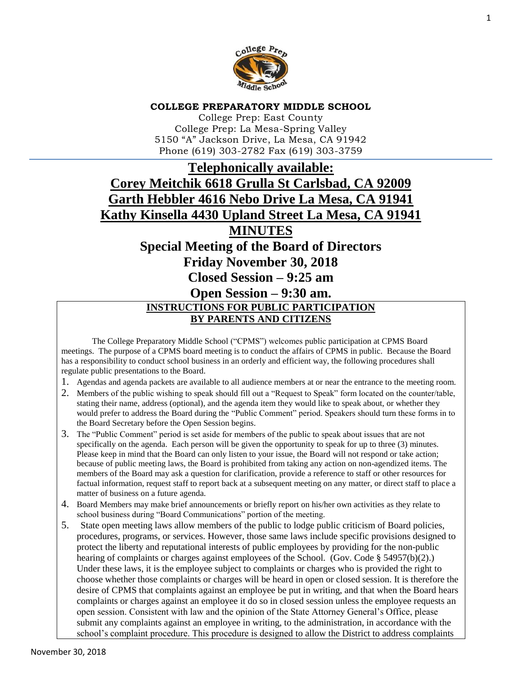

#### **COLLEGE PREPARATORY MIDDLE SCHOOL**

College Prep: East County College Prep: La Mesa-Spring Valley 5150 "A" Jackson Drive, La Mesa, CA 91942 Phone (619) 303-2782 Fax (619) 303-3759

# **Telephonically available: Corey Meitchik 6618 Grulla St Carlsbad, CA 92009 Garth Hebbler 4616 Nebo Drive La Mesa, CA 91941 Kathy Kinsella 4430 Upland Street La Mesa, CA 91941**

# **MINUTES**

**Special Meeting of the Board of Directors** 

**Friday November 30, 2018**

**Closed Session – 9:25 am**

# **Open Session – 9:30 am. INSTRUCTIONS FOR PUBLIC PARTICIPATION BY PARENTS AND CITIZENS**

The College Preparatory Middle School ("CPMS") welcomes public participation at CPMS Board meetings. The purpose of a CPMS board meeting is to conduct the affairs of CPMS in public. Because the Board has a responsibility to conduct school business in an orderly and efficient way, the following procedures shall regulate public presentations to the Board.

- 1. Agendas and agenda packets are available to all audience members at or near the entrance to the meeting room.
- 2. Members of the public wishing to speak should fill out a "Request to Speak" form located on the counter/table, stating their name, address (optional), and the agenda item they would like to speak about, or whether they would prefer to address the Board during the "Public Comment" period. Speakers should turn these forms in to the Board Secretary before the Open Session begins.
- 3. The "Public Comment" period is set aside for members of the public to speak about issues that are not specifically on the agenda. Each person will be given the opportunity to speak for up to three (3) minutes. Please keep in mind that the Board can only listen to your issue, the Board will not respond or take action; because of public meeting laws, the Board is prohibited from taking any action on non-agendized items. The members of the Board may ask a question for clarification, provide a reference to staff or other resources for factual information, request staff to report back at a subsequent meeting on any matter, or direct staff to place a matter of business on a future agenda.
- 4. Board Members may make brief announcements or briefly report on his/her own activities as they relate to school business during "Board Communications" portion of the meeting.
- 5. State open meeting laws allow members of the public to lodge public criticism of Board policies, procedures, programs, or services. However, those same laws include specific provisions designed to protect the liberty and reputational interests of public employees by providing for the non-public hearing of complaints or charges against employees of the School. (Gov. Code § 54957(b)(2).) Under these laws, it is the employee subject to complaints or charges who is provided the right to choose whether those complaints or charges will be heard in open or closed session. It is therefore the desire of CPMS that complaints against an employee be put in writing, and that when the Board hears complaints or charges against an employee it do so in closed session unless the employee requests an open session. Consistent with law and the opinion of the State Attorney General's Office, please submit any complaints against an employee in writing, to the administration, in accordance with the school's complaint procedure. This procedure is designed to allow the District to address complaints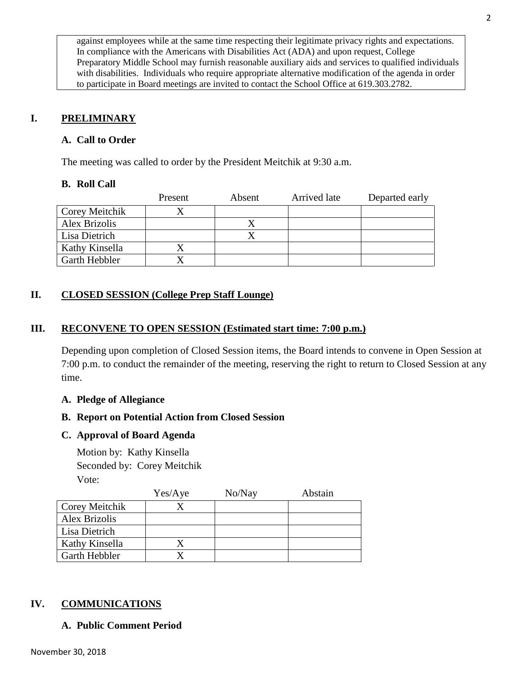against employees while at the same time respecting their legitimate privacy rights and expectations. In compliance with the Americans with Disabilities Act (ADA) and upon request, College Preparatory Middle School may furnish reasonable auxiliary aids and services to qualified individuals with disabilities. Individuals who require appropriate alternative modification of the agenda in order to participate in Board meetings are invited to contact the School Office at 619.303.2782.

# **I. PRELIMINARY**

# **A. Call to Order**

The meeting was called to order by the President Meitchik at 9:30 a.m.

#### **B. Roll Call**

|                | Present | Absent | Arrived late | Departed early |
|----------------|---------|--------|--------------|----------------|
| Corey Meitchik |         |        |              |                |
| Alex Brizolis  |         |        |              |                |
| Lisa Dietrich  |         |        |              |                |
| Kathy Kinsella |         |        |              |                |
| Garth Hebbler  |         |        |              |                |

# **II. CLOSED SESSION (College Prep Staff Lounge)**

#### **III. RECONVENE TO OPEN SESSION (Estimated start time: 7:00 p.m.)**

Depending upon completion of Closed Session items, the Board intends to convene in Open Session at 7:00 p.m. to conduct the remainder of the meeting, reserving the right to return to Closed Session at any time.

#### **A. Pledge of Allegiance**

# **B. Report on Potential Action from Closed Session**

#### **C. Approval of Board Agenda**

Motion by: Kathy Kinsella Seconded by: Corey Meitchik Vote:

|                | Yes/Aye | No/Nay | Abstain |
|----------------|---------|--------|---------|
| Corey Meitchik |         |        |         |
| Alex Brizolis  |         |        |         |
| Lisa Dietrich  |         |        |         |
| Kathy Kinsella |         |        |         |
| Garth Hebbler  |         |        |         |

#### **IV. COMMUNICATIONS**

# **A. Public Comment Period**